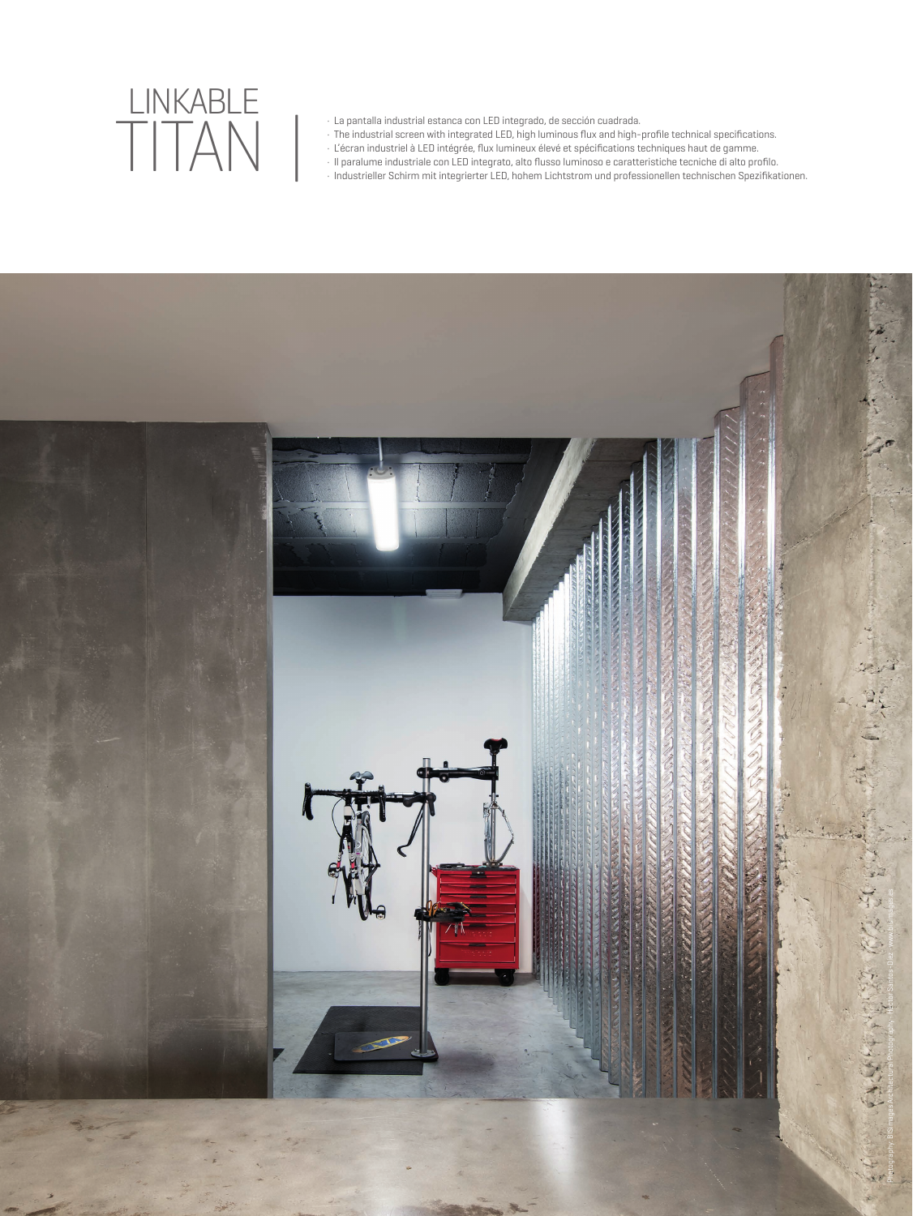## TITAN | LINKABLE

- · La pantalla industrial estanca con LED integrado, de sección cuadrada.
- · The industrial screen with integrated LED, high luminous flux and high-profile technical specifications.
- · L'écran industriel à LED intégrée, flux lumineux élevé et spécifications techniques haut de gamme.
- · Il paralume industriale con LED integrato, alto flusso luminoso e caratteristiche tecniche di alto profilo.
- · Industrieller Schirm mit integrierter LED, hohem Lichtstrom und professionellen technischen Spezifikationen.